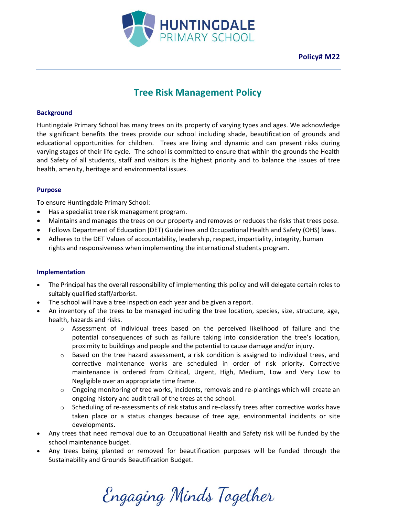

**Policy# M22**

# **Tree Risk Management Policy**

#### **Background**

Huntingdale Primary School has many trees on its property of varying types and ages. We acknowledge the significant benefits the trees provide our school including shade, beautification of grounds and educational opportunities for children. Trees are living and dynamic and can present risks during varying stages of their life cycle. The school is committed to ensure that within the grounds the Health and Safety of all students, staff and visitors is the highest priority and to balance the issues of tree health, amenity, heritage and environmental issues.

#### **Purpose**

To ensure Huntingdale Primary School:

- Has a specialist tree risk management program.
- Maintains and manages the trees on our property and removes or reduces the risks that trees pose.
- Follows Department of Education (DET) Guidelines and Occupational Health and Safety (OHS) laws.
- Adheres to the DET Values of accountability, leadership, respect, impartiality, integrity, human rights and responsiveness when implementing the international students program.

#### **Implementation**

- The Principal has the overall responsibility of implementing this policy and will delegate certain roles to suitably qualified staff/arborist.
- The school will have a tree inspection each year and be given a report.
- An inventory of the trees to be managed including the tree location, species, size, structure, age, health, hazards and risks.
	- $\circ$  Assessment of individual trees based on the perceived likelihood of failure and the potential consequences of such as failure taking into consideration the tree's location, proximity to buildings and people and the potential to cause damage and/or injury.
	- $\circ$  Based on the tree hazard assessment, a risk condition is assigned to individual trees, and corrective maintenance works are scheduled in order of risk priority. Corrective maintenance is ordered from Critical, Urgent, High, Medium, Low and Very Low to Negligible over an appropriate time frame.
	- $\circ$  Ongoing monitoring of tree works, incidents, removals and re-plantings which will create an ongoing history and audit trail of the trees at the school.
	- $\circ$  Scheduling of re-assessments of risk status and re-classify trees after corrective works have taken place or a status changes because of tree age, environmental incidents or site developments.
- Any trees that need removal due to an Occupational Health and Safety risk will be funded by the school maintenance budget.
- Any trees being planted or removed for beautification purposes will be funded through the Sustainability and Grounds Beautification Budget.

Engaging Minds Together